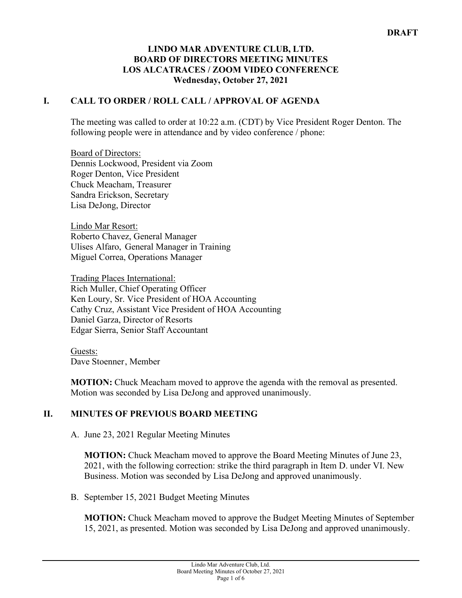### **LINDO MAR ADVENTURE CLUB, LTD. BOARD OF DIRECTORS MEETING MINUTES LOS ALCATRACES / ZOOM VIDEO CONFERENCE Wednesday, October 27, 2021**

## **I. CALL TO ORDER / ROLL CALL / APPROVAL OF AGENDA**

The meeting was called to order at 10:22 a.m. (CDT) by Vice President Roger Denton. The following people were in attendance and by video conference / phone:

Board of Directors: Dennis Lockwood, President via Zoom Roger Denton, Vice President Chuck Meacham, Treasurer Sandra Erickson, Secretary Lisa DeJong, Director

Lindo Mar Resort: Roberto Chavez, General Manager Ulises Alfaro, General Manager in Training Miguel Correa, Operations Manager

Trading Places International: Rich Muller, Chief Operating Officer Ken Loury, Sr. Vice President of HOA Accounting Cathy Cruz, Assistant Vice President of HOA Accounting Daniel Garza, Director of Resorts Edgar Sierra, Senior Staff Accountant

Guests: Dave Stoenner, Member

**MOTION:** Chuck Meacham moved to approve the agenda with the removal as presented. Motion was seconded by Lisa DeJong and approved unanimously.

# **II. MINUTES OF PREVIOUS BOARD MEETING**

A. June 23, 2021 Regular Meeting Minutes

**MOTION:** Chuck Meacham moved to approve the Board Meeting Minutes of June 23, 2021, with the following correction: strike the third paragraph in Item D. under VI. New Business. Motion was seconded by Lisa DeJong and approved unanimously.

B. September 15, 2021 Budget Meeting Minutes

**MOTION:** Chuck Meacham moved to approve the Budget Meeting Minutes of September 15, 2021, as presented. Motion was seconded by Lisa DeJong and approved unanimously.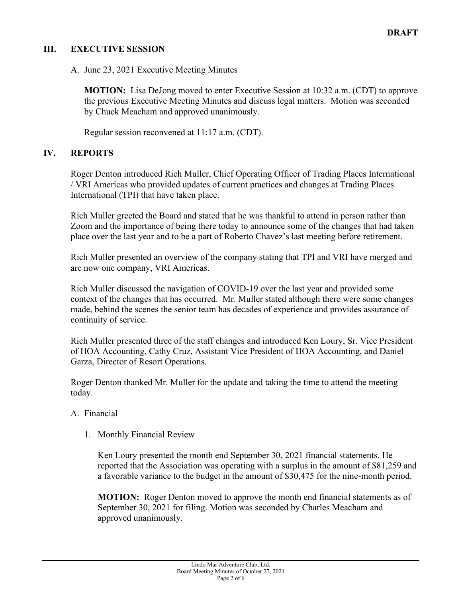# **III. EXECUTIVE SESSION**

A. June 23, 2021 Executive Meeting Minutes

**MOTION:** Lisa DeJong moved to enter Executive Session at 10:32 a.m. (CDT) to approve the previous Executive Meeting Minutes and discuss legal matters. Motion was seconded by Chuck Meacham and approved unanimously.

Regular session reconvened at 11:17 a.m. (CDT).

### **IV. REPORTS**

Roger Denton introduced Rich Muller, Chief Operating Officer of Trading Places International / VRI Americas who provided updates of current practices and changes at Trading Places International (TPI) that have taken place.

Rich Muller greeted the Board and stated that he was thankful to attend in person rather than Zoom and the importance of being there today to announce some of the changes that had taken place over the last year and to be a part of Roberto Chavez's last meeting before retirement.

Rich Muller presented an overview of the company stating that TPI and VRI have merged and are now one company, VRI Americas.

Rich Muller discussed the navigation of COVID-19 over the last year and provided some context of the changes that has occurred. Mr. Muller stated although there were some changes made, behind the scenes the senior team has decades of experience and provides assurance of continuity of service.

Rich Muller presented three of the staff changes and introduced Ken Loury, Sr. Vice President of HOA Accounting, Cathy Cruz, Assistant Vice President of HOA Accounting, and Daniel Garza, Director of Resort Operations.

Roger Denton thanked Mr. Muller for the update and taking the time to attend the meeting today.

#### A. Financial

1. Monthly Financial Review

Ken Loury presented the month end September 30, 2021 financial statements. He reported that the Association was operating with a surplus in the amount of \$81,259 and a favorable variance to the budget in the amount of \$30,475 for the nine-month period.

**MOTION:** Roger Denton moved to approve the month end financial statements as of September 30, 2021 for filing. Motion was seconded by Charles Meacham and approved unanimously.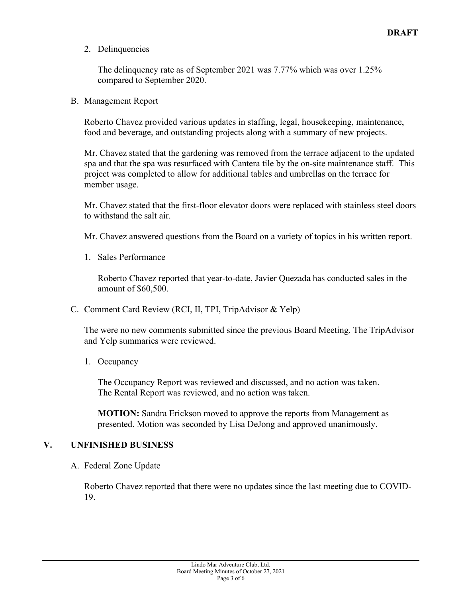2. Delinquencies

The delinquency rate as of September 2021 was 7.77% which was over 1.25% compared to September 2020.

B. Management Report

Roberto Chavez provided various updates in staffing, legal, housekeeping, maintenance, food and beverage, and outstanding projects along with a summary of new projects.

Mr. Chavez stated that the gardening was removed from the terrace adjacent to the updated spa and that the spa was resurfaced with Cantera tile by the on-site maintenance staff. This project was completed to allow for additional tables and umbrellas on the terrace for member usage.

Mr. Chavez stated that the first-floor elevator doors were replaced with stainless steel doors to withstand the salt air.

Mr. Chavez answered questions from the Board on a variety of topics in his written report.

1. Sales Performance

Roberto Chavez reported that year-to-date, Javier Quezada has conducted sales in the amount of \$60,500.

C. Comment Card Review (RCI, II, TPI, TripAdvisor & Yelp)

The were no new comments submitted since the previous Board Meeting. The TripAdvisor and Yelp summaries were reviewed.

1. Occupancy

The Occupancy Report was reviewed and discussed, and no action was taken. The Rental Report was reviewed, and no action was taken.

**MOTION:** Sandra Erickson moved to approve the reports from Management as presented. Motion was seconded by Lisa DeJong and approved unanimously.

#### **V. UNFINISHED BUSINESS**

A. Federal Zone Update

Roberto Chavez reported that there were no updates since the last meeting due to COVID-19.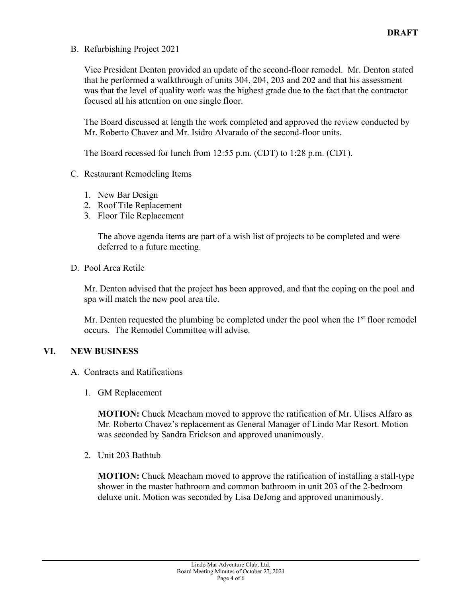B. Refurbishing Project 2021

Vice President Denton provided an update of the second-floor remodel. Mr. Denton stated that he performed a walkthrough of units 304, 204, 203 and 202 and that his assessment was that the level of quality work was the highest grade due to the fact that the contractor focused all his attention on one single floor.

The Board discussed at length the work completed and approved the review conducted by Mr. Roberto Chavez and Mr. Isidro Alvarado of the second-floor units.

The Board recessed for lunch from 12:55 p.m. (CDT) to 1:28 p.m. (CDT).

- C. Restaurant Remodeling Items
	- 1. New Bar Design
	- 2. Roof Tile Replacement
	- 3. Floor Tile Replacement

The above agenda items are part of a wish list of projects to be completed and were deferred to a future meeting.

D. Pool Area Retile

Mr. Denton advised that the project has been approved, and that the coping on the pool and spa will match the new pool area tile.

Mr. Denton requested the plumbing be completed under the pool when the  $1<sup>st</sup>$  floor remodel occurs. The Remodel Committee will advise.

# **VI. NEW BUSINESS**

- A. Contracts and Ratifications
	- 1. GM Replacement

**MOTION:** Chuck Meacham moved to approve the ratification of Mr. Ulises Alfaro as Mr. Roberto Chavez's replacement as General Manager of Lindo Mar Resort. Motion was seconded by Sandra Erickson and approved unanimously.

2. Unit 203 Bathtub

**MOTION:** Chuck Meacham moved to approve the ratification of installing a stall-type shower in the master bathroom and common bathroom in unit 203 of the 2-bedroom deluxe unit. Motion was seconded by Lisa DeJong and approved unanimously.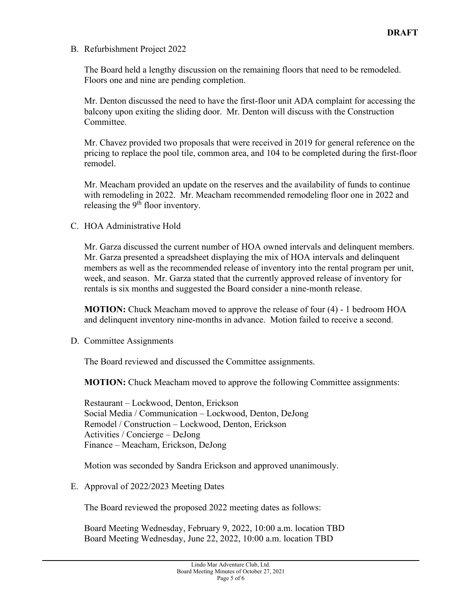B. Refurbishment Project 2022

The Board held a lengthy discussion on the remaining floors that need to be remodeled. Floors one and nine are pending completion.

Mr. Denton discussed the need to have the first-floor unit ADA complaint for accessing the balcony upon exiting the sliding door. Mr. Denton will discuss with the Construction Committee.

Mr. Chavez provided two proposals that were received in 2019 for general reference on the pricing to replace the pool tile, common area, and 104 to be completed during the first-floor remodel.

Mr. Meacham provided an update on the reserves and the availability of funds to continue with remodeling in 2022. Mr. Meacham recommended remodeling floor one in 2022 and releasing the  $9<sup>th</sup>$  floor inventory.

C. HOA Administrative Hold

Mr. Garza discussed the current number of HOA owned intervals and delinquent members. Mr. Garza presented a spreadsheet displaying the mix of HOA intervals and delinquent members as well as the recommended release of inventory into the rental program per unit, week, and season. Mr. Garza stated that the currently approved release of inventory for rentals is six months and suggested the Board consider a nine-month release.

**MOTION:** Chuck Meacham moved to approve the release of four (4) - 1 bedroom HOA and delinquent inventory nine-months in advance. Motion failed to receive a second.

D. Committee Assignments

The Board reviewed and discussed the Committee assignments.

**MOTION:** Chuck Meacham moved to approve the following Committee assignments:

Restaurant – Lockwood, Denton, Erickson Social Media / Communication – Lockwood, Denton, DeJong Remodel / Construction – Lockwood, Denton, Erickson Activities / Concierge – DeJong Finance – Meacham, Erickson, DeJong

Motion was seconded by Sandra Erickson and approved unanimously.

E. Approval of 2022/2023 Meeting Dates

The Board reviewed the proposed 2022 meeting dates as follows:

Board Meeting Wednesday, February 9, 2022, 10:00 a.m. location TBD Board Meeting Wednesday, June 22, 2022, 10:00 a.m. location TBD